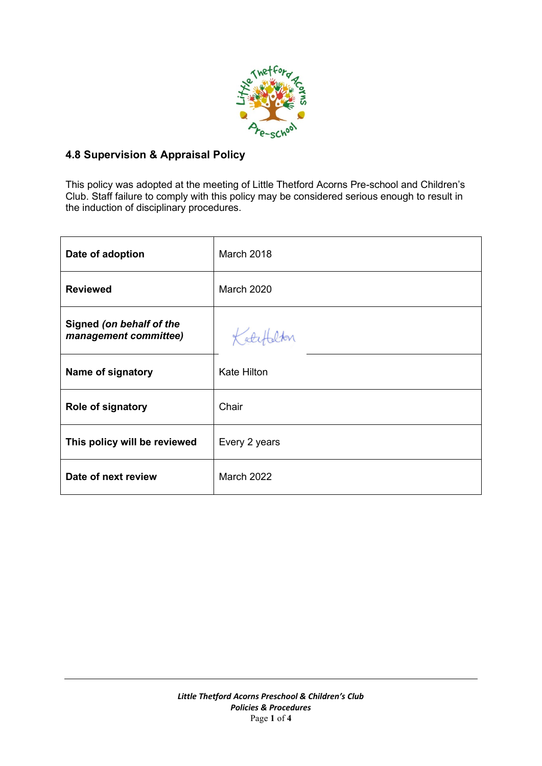

## **4.8 Supervision & Appraisal Policy**

This policy was adopted at the meeting of Little Thetford Acorns Pre-school and Children's Club. Staff failure to comply with this policy may be considered serious enough to result in the induction of disciplinary procedures.

| Date of adoption                                  | March 2018         |
|---------------------------------------------------|--------------------|
| <b>Reviewed</b>                                   | <b>March 2020</b>  |
| Signed (on behalf of the<br>management committee) | Kater              |
| Name of signatory                                 | <b>Kate Hilton</b> |
| <b>Role of signatory</b>                          | Chair              |
| This policy will be reviewed                      | Every 2 years      |
| Date of next review                               | <b>March 2022</b>  |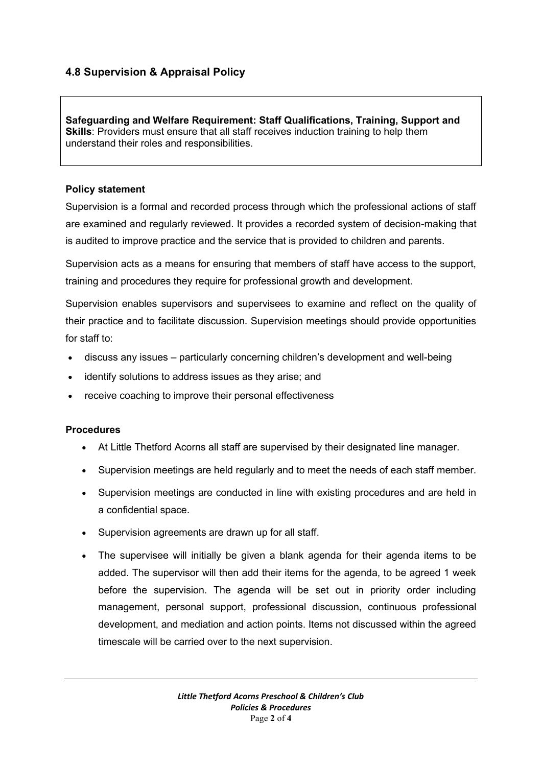# **4.8 Supervision & Appraisal Policy**

**Safeguarding and Welfare Requirement: Staff Qualifications, Training, Support and Skills**: Providers must ensure that all staff receives induction training to help them understand their roles and responsibilities.

#### **Policy statement**

Supervision is a formal and recorded process through which the professional actions of staff are examined and regularly reviewed. It provides a recorded system of decision-making that is audited to improve practice and the service that is provided to children and parents.

Supervision acts as a means for ensuring that members of staff have access to the support, training and procedures they require for professional growth and development.

Supervision enables supervisors and supervisees to examine and reflect on the quality of their practice and to facilitate discussion. Supervision meetings should provide opportunities for staff to:

- discuss any issues particularly concerning children's development and well-being
- identify solutions to address issues as they arise; and
- receive coaching to improve their personal effectiveness

### **Procedures**

- At Little Thetford Acorns all staff are supervised by their designated line manager.
- Supervision meetings are held regularly and to meet the needs of each staff member.
- Supervision meetings are conducted in line with existing procedures and are held in a confidential space.
- Supervision agreements are drawn up for all staff.
- The supervisee will initially be given a blank agenda for their agenda items to be added. The supervisor will then add their items for the agenda, to be agreed 1 week before the supervision. The agenda will be set out in priority order including management, personal support, professional discussion, continuous professional development, and mediation and action points. Items not discussed within the agreed timescale will be carried over to the next supervision.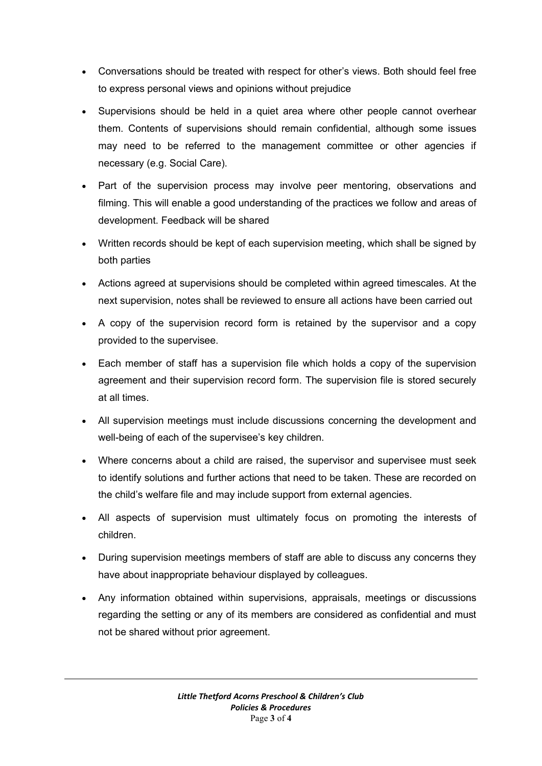- Conversations should be treated with respect for other's views. Both should feel free to express personal views and opinions without prejudice
- Supervisions should be held in a quiet area where other people cannot overhear them. Contents of supervisions should remain confidential, although some issues may need to be referred to the management committee or other agencies if necessary (e.g. Social Care).
- Part of the supervision process may involve peer mentoring, observations and filming. This will enable a good understanding of the practices we follow and areas of development. Feedback will be shared
- Written records should be kept of each supervision meeting, which shall be signed by both parties
- Actions agreed at supervisions should be completed within agreed timescales. At the next supervision, notes shall be reviewed to ensure all actions have been carried out
- A copy of the supervision record form is retained by the supervisor and a copy provided to the supervisee.
- Each member of staff has a supervision file which holds a copy of the supervision agreement and their supervision record form. The supervision file is stored securely at all times.
- All supervision meetings must include discussions concerning the development and well-being of each of the supervisee's key children.
- Where concerns about a child are raised, the supervisor and supervisee must seek to identify solutions and further actions that need to be taken. These are recorded on the child's welfare file and may include support from external agencies.
- All aspects of supervision must ultimately focus on promoting the interests of children.
- During supervision meetings members of staff are able to discuss any concerns they have about inappropriate behaviour displayed by colleagues.
- Any information obtained within supervisions, appraisals, meetings or discussions regarding the setting or any of its members are considered as confidential and must not be shared without prior agreement.